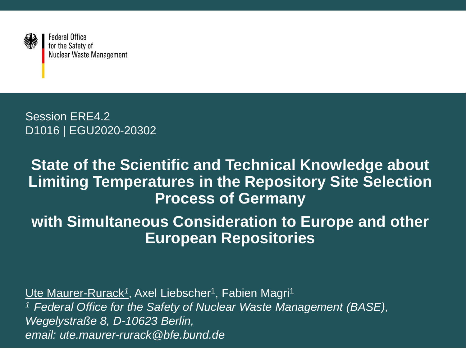

**Federal Office** for the Safety of Nuclear Waste Management

Session ERE4.2 D1016 | EGU2020-20302

#### **State of the Scientific and Technical Knowledge about Limiting Temperatures in the Repository Site Selection Process of Germany**

#### **with Simultaneous Consideration to Europe and other European Repositories**

Ute Maurer-Rurack<sup>1</sup>, Axel Liebscher<sup>1</sup>, Fabien Magri<sup>1</sup> *<sup>1</sup>Federal Office for the Safety of Nuclear Waste Management (BASE), Wegelystraße 8, D-10623 Berlin, email: ute.maurer-rurack@bfe.bund.de*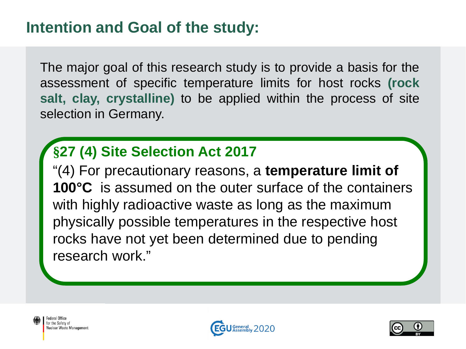The major goal of this research study is to provide a basis for the assessment of specific temperature limits for host rocks **(rock salt, clay, crystalline)** to be applied within the process of site selection in Germany.

#### **§27 (4) Site Selection Act 2017**

"(4) For precautionary reasons, a **temperature limit of 100°C** is assumed on the outer surface of the containers with highly radioactive waste as long as the maximum physically possible temperatures in the respective host rocks have not yet been determined due to pending research work."

Federal Office for the Safety of Nuclear Waste Management



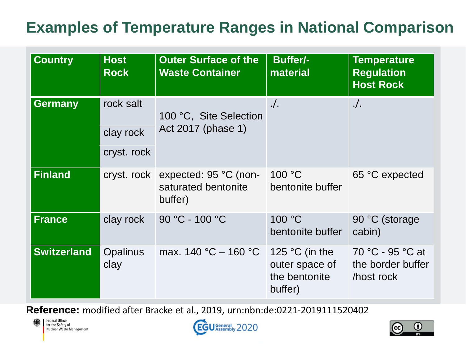#### **Examples of Temperature Ranges in National Comparison**

| <b>Country</b>     | <b>Host</b><br><b>Rock</b>            | <b>Outer Surface of the</b><br><b>Waste Container</b>               | <b>Buffer/-</b><br>material                                           | <b>Temperature</b><br><b>Regulation</b><br><b>Host Rock</b> |
|--------------------|---------------------------------------|---------------------------------------------------------------------|-----------------------------------------------------------------------|-------------------------------------------------------------|
| <b>Germany</b>     | rock salt<br>clay rock<br>cryst. rock | 100 °C, Site Selection<br>Act 2017 (phase 1)                        | $.$ /.                                                                | $\cdot$ .                                                   |
| <b>Finland</b>     |                                       | cryst. rock expected: 95 °C (non-<br>saturated bentonite<br>buffer) | 100 °C<br>bentonite buffer                                            | 65 °C expected                                              |
| <b>France</b>      | clay rock                             | 90 °C - 100 °C                                                      | 100 °C<br>bentonite buffer                                            | 90 °C (storage<br>cabin)                                    |
| <b>Switzerland</b> | <b>Opalinus</b><br>clay               | max. $140 °C - 160 °C$                                              | 125 $\degree$ C (in the<br>outer space of<br>the bentonite<br>buffer) | 70 °C - 95 °C at<br>the border buffer<br>host rock          |

**Reference:** modified after Bracke et al., 2019, urn:nbn:de:0221-2019111520402





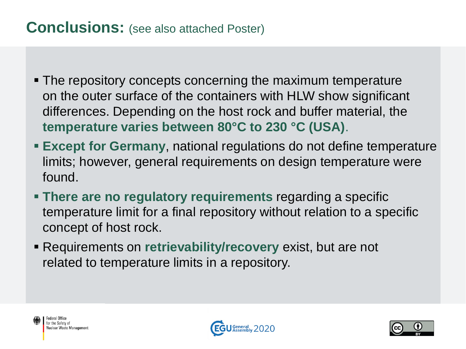#### **Conclusions:** (see also attached Poster)

- The repository concepts concerning the maximum temperature on the outer surface of the containers with HLW show significant differences. Depending on the host rock and buffer material, the **temperature varies between 80°C to 230 °C (USA)**.
- **Except for Germany**, national regulations do not define temperature limits; however, general requirements on design temperature were found.
- **There are no regulatory requirements** regarding a specific temperature limit for a final repository without relation to a specific concept of host rock.
- Requirements on **retrievability/recovery** exist, but are not related to temperature limits in a repository.